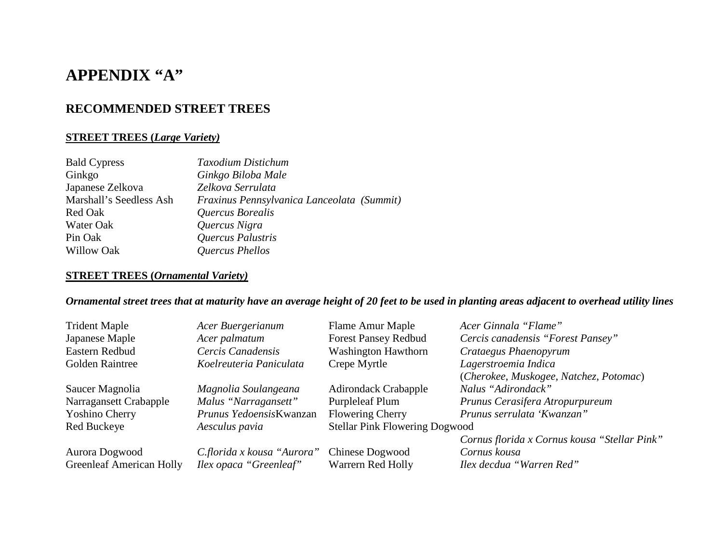# **APPENDIX "A"**

### **RECOMMENDED STREET TREES**

### **STREET TREES (***Large Variety)*

| <b>Bald Cypress</b>     | Taxodium Distichum                         |
|-------------------------|--------------------------------------------|
| Ginkgo                  | Ginkgo Biloba Male                         |
| Japanese Zelkova        | Zelkova Serrulata                          |
| Marshall's Seedless Ash | Fraxinus Pennsylvanica Lanceolata (Summit) |
| Red Oak                 | Quercus Borealis                           |
| Water Oak               | Quercus Nigra                              |
| Pin Oak                 | Quercus Palustris                          |
| <b>Willow Oak</b>       | Quercus Phellos                            |
|                         |                                            |

### **STREET TREES (***Ornamental Variety)*

### *Ornamental street trees that at maturity have an average height of 20 feet to be used in planting areas adjacent to overhead utility lines*

| <b>Trident Maple</b>            | Acer Buergerianum          | Flame Amur Maple                      | Acer Ginnala "Flame"                         |
|---------------------------------|----------------------------|---------------------------------------|----------------------------------------------|
| Japanese Maple                  | Acer palmatum              | <b>Forest Pansey Redbud</b>           | Cercis canadensis "Forest Pansey"            |
| Eastern Redbud                  | Cercis Canadensis          | <b>Washington Hawthorn</b>            | Crataegus Phaenopyrum                        |
| Golden Raintree                 | Koelreuteria Paniculata    | Crepe Myrtle                          | Lagerstroemia Indica                         |
|                                 |                            |                                       | (Cherokee, Muskogee, Natchez, Potomac)       |
| Saucer Magnolia                 | Magnolia Soulangeana       | <b>Adirondack Crabapple</b>           | Nalus "Adirondack"                           |
| Narragansett Crabapple          | Malus "Narragansett"       | <b>Purpleleaf Plum</b>                | Prunus Cerasifera Atropurpureum              |
| <b>Yoshino Cherry</b>           | Prunus YedoensisKwanzan    | Flowering Cherry                      | Prunus serrulata 'Kwanzan"                   |
| Red Buckeye                     | Aesculus pavia             | <b>Stellar Pink Flowering Dogwood</b> |                                              |
|                                 |                            |                                       | Cornus florida x Cornus kousa "Stellar Pink" |
| Aurora Dogwood                  | C.florida x kousa "Aurora" | <b>Chinese Dogwood</b>                | Cornus kousa                                 |
| <b>Greenleaf American Holly</b> | Ilex opaca "Greenleaf"     | Warrern Red Holly                     | Ilex decdua "Warren Red"                     |